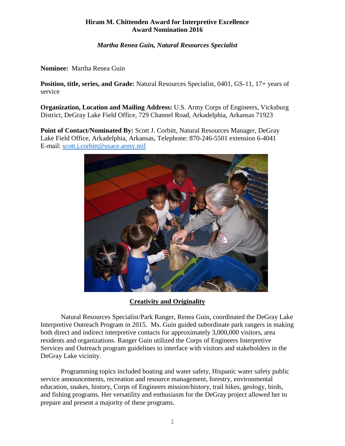# **Hiram M. Chittenden Award for Interpretive Excellence Award Nomination 2016**

*Martha Renea Guin, Natural Resources Specialist*

**Nominee:** Martha Renea Guin

**Position, title, series, and Grade:** Natural Resources Specialist, 0401, GS-11, 17+ years of service

**Organization, Location and Mailing Address:** U.S. Army Corps of Engineers, Vicksburg District, DeGray Lake Field Office, 729 Channel Road, Arkadelphia, Arkansas 71923

**Point of Contact/Nominated By:** Scott J. Corbitt, Natural Resources Manager, DeGray Lake Field Office, Arkadelphia, Arkansas, Telephone: 870-246-5501 extension 6-4041 E-mail: [scott.j.corbitt@usace.army.mil](mailto:scott.j.corbitt@usace.army.mil)



**Creativity and Originality**

Natural Resources Specialist/Park Ranger, Renea Guin, coordinated the DeGray Lake Interpretive Outreach Program in 2015. Ms. Guin guided subordinate park rangers in making both direct and indirect interpretive contacts for approximately 3,000,000 visitors, area residents and organizations. Ranger Guin utilized the Corps of Engineers Interpretive Services and Outreach program guidelines to interface with visitors and stakeholders in the DeGray Lake vicinity.

Programming topics included boating and water safety, Hispanic water safety public service announcements, recreation and resource management, forestry, environmental education, snakes, history, Corps of Engineers mission/history, trail hikes, geology, birds, and fishing programs. Her versatility and enthusiasm for the DeGray project allowed her to prepare and present a majority of these programs.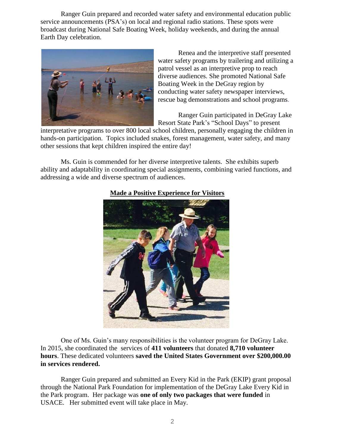Ranger Guin prepared and recorded water safety and environmental education public service announcements (PSA's) on local and regional radio stations. These spots were broadcast during National Safe Boating Week, holiday weekends, and during the annual Earth Day celebration.



Renea and the interpretive staff presented water safety programs by trailering and utilizing a patrol vessel as an interpretive prop to reach diverse audiences. She promoted National Safe Boating Week in the DeGray region by conducting water safety newspaper interviews, rescue bag demonstrations and school programs.

Ranger Guin participated in DeGray Lake Resort State Park's "School Days" to present

interpretative programs to over 800 local school children, personally engaging the children in hands-on participation. Topics included snakes, forest management, water safety, and many other sessions that kept children inspired the entire day!

Ms. Guin is commended for her diverse interpretive talents. She exhibits superb ability and adaptability in coordinating special assignments, combining varied functions, and addressing a wide and diverse spectrum of audiences.



### **Made a Positive Experience for Visitors**

One of Ms. Guin's many responsibilities is the volunteer program for DeGray Lake. In 2015, she coordinated the services of **411 volunteers** that donated **8,710 volunteer hours**. These dedicated volunteers **saved the United States Government over \$200,000.00 in services rendered.**

Ranger Guin prepared and submitted an Every Kid in the Park (EKIP) grant proposal through the National Park Foundation for implementation of the DeGray Lake Every Kid in the Park program. Her package was **one of only two packages that were funded** in USACE. Her submitted event will take place in May.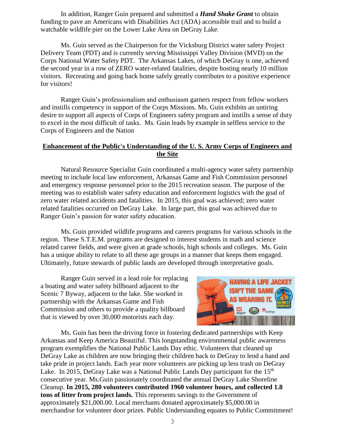In addition, Ranger Guin prepared and submitted a *Hand Shake Grant* to obtain funding to pave an Americans with Disabilities Act (ADA) accessible trail and to build a watchable wildlife pier on the Lower Lake Area on DeGray Lake.

Ms. Guin served as the Chairperson for the Vicksburg District water safety Project Delivery Team (PDT) and is currently serving Mississippi Valley Division (MVD) on the Corps National Water Safety PDT. The Arkansas Lakes, of which DeGray is one, achieved the second year in a row of ZERO water-related fatalities, despite hosting nearly 10 million visitors. Recreating and going back home safely greatly contributes to a positive experience for visitors!

Ranger Guin's professionalism and enthusiasm garners respect from fellow workers and instills competency in support of the Corps Missions. Ms. Guin exhibits an untiring desire to support all aspects of Corps of Engineers safety program and instills a sense of duty to excel in the most difficult of tasks. Ms. Guin leads by example in selfless service to the Corps of Engineers and the Nation

## **Enhancement of the Public's Understanding of the U. S. Army Corps of Engineers and the Site**

Natural Resource Specialist Guin coordinated a multi-agency water safety partnership meeting to include local law enforcement, Arkansas Game and Fish Commission personnel and emergency response personnel prior to the 2015 recreation season. The purpose of the meeting was to establish water safety education and enforcement logistics with the goal of zero water related accidents and fatalities.In 2015, this goal was achieved; zero water related fatalities occurred on DeGray Lake. In large part, this goal was achieved due to Ranger Guin's passion for water safety education.

Ms. Guin provided wildlife programs and careers programs for various schools in the region. These S.T.E.M. programs are designed to interest students in math and science related career fields, and were given at grade schools, high schools and colleges. Ms. Guin has a unique ability to relate to all these age groups in a manner that keeps them engaged. Ultimately, future stewards of public lands are developed through interpretative goals.

Ranger Guin served in a lead role for replacing a boating and water safety billboard adjacent to the Scenic 7 Byway, adjacent to the lake. She worked in partnership with the Arkansas Game and Fish Commission and others to provide a quality billboard that is viewed by over 30,000 motorists each day.



Ms. Guin has been the driving force in fostering dedicated partnerships with Keep Arkansas and Keep America Beautiful. This longstanding environmental public awareness program exemplifies the National Public Lands Day ethic. Volunteers that cleaned up DeGray Lake as children are now bringing their children back to DeGray to lend a hand and take pride in project lands. Each year more volunteers are picking up less trash on DeGray Lake. In 2015, DeGray Lake was a National Public Lands Day participant for the 15<sup>th</sup> consecutive year. Ms.Guin passionately coordinated the annual DeGray Lake Shoreline Cleanup. **In 2015, 280 volunteers contributed 1960 volunteer hours, and collected 1.8 tons of litter from project lands.** This represents savings to the Government of approximately \$21,000.00. Local merchants donated approximately \$5,000.00 in merchandise for volunteer door prizes. Public Understanding equates to Public Commitment!